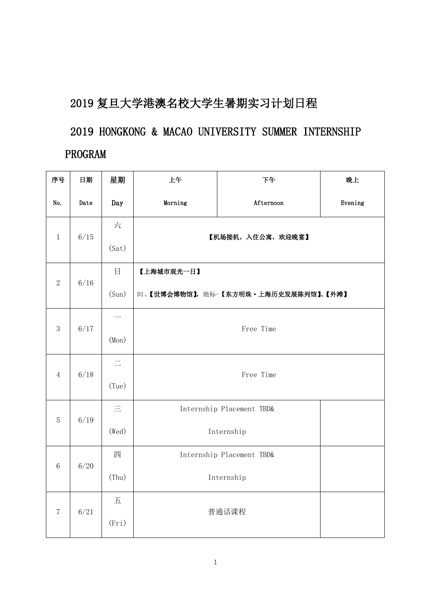## 2019 复旦大学港澳名校大学生暑期实习计划日程

2019 HONGKONG & MACAO UNIVERSITY SUMMER INTERNSHIP PROGRAM

| 序号                                           | 日期   | 星期       | 上午                 | 下午                                    | 晚上      |  |  |  |
|----------------------------------------------|------|----------|--------------------|---------------------------------------|---------|--|--|--|
| No.                                          | Date | Day      | Morning            | Afternoon                             | Evening |  |  |  |
|                                              | 6/15 | 六        | 【机场接机, 入住公寓, 欢迎晚宴】 |                                       |         |  |  |  |
| $\mathbf{1}$                                 |      | (Sat)    |                    |                                       |         |  |  |  |
|                                              | 6/16 | 日        | 【上海城市观光一日】         |                                       |         |  |  |  |
| $\sqrt{2}$                                   |      | (Sun)    |                    | D1、【世博会博物馆】, 地标-【东方明珠·上海历史发展陈列馆】、【外滩】 |         |  |  |  |
|                                              | 6/17 |          | Free Time          |                                       |         |  |  |  |
| 3                                            |      | (Mon)    |                    |                                       |         |  |  |  |
|                                              |      | $\equiv$ |                    |                                       |         |  |  |  |
| 6/18<br>Free Time<br>$\overline{4}$<br>(Tue) |      |          |                    |                                       |         |  |  |  |
| $\overline{5}$                               | 6/19 | $\equiv$ |                    | Internship Placement TBD&             |         |  |  |  |
|                                              |      | (Wed)    |                    | Internship                            |         |  |  |  |
| $6\phantom{1}6$                              | 6/20 | 四        |                    | Internship Placement TBD&             |         |  |  |  |
|                                              |      | (Thu)    |                    | Internship                            |         |  |  |  |
| $\overline{7}$                               | 6/21 | 五        |                    |                                       |         |  |  |  |
|                                              |      | (Fri)    |                    | 普通话课程                                 |         |  |  |  |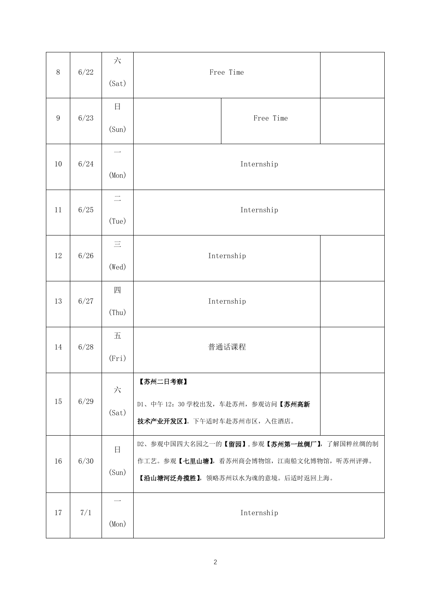| $8\,$            | 6/22 | 六<br>(sat)                        | Free Time                                                                                                            |            |  |
|------------------|------|-----------------------------------|----------------------------------------------------------------------------------------------------------------------|------------|--|
| $\boldsymbol{9}$ | 6/23 | 日<br>(Sun)                        |                                                                                                                      | Free Time  |  |
| 10               | 6/24 | (Mon)                             | Internship                                                                                                           |            |  |
| 11               | 6/25 | $\equiv$<br>(Tue)                 | Internship                                                                                                           |            |  |
| 12               | 6/26 | $\equiv$<br>(Wed)                 | Internship                                                                                                           |            |  |
| 13               | 6/27 | 四<br>(Thu)                        | Internship                                                                                                           |            |  |
| 14               | 6/28 | 五<br>(Fri)                        | 普通话课程                                                                                                                |            |  |
| $15\,$           | 6/29 | 六<br>(Sat)                        | 【苏州二日考察】<br>D1、中午12: 30 学校出发, 车赴苏州, 参观访问【苏州高新<br>技术产业开发区】。下午适时车赴苏州市区,入住酒店。                                           |            |  |
| 16               | 6/30 | $\Box$<br>(Sun)                   | D2、参观中国四大名园之一的【留园】,参观【苏州第一丝绸厂】,了解国粹丝绸的制<br>作工艺。参观【七里山塘】,看苏州商会博物馆,江南船文化博物馆,听苏州评弹。<br>【沿山塘河泛舟揽胜】, 领略苏州以水为魂的意境。后适时返回上海。 |            |  |
| 17               | 7/1  | $\overline{\phantom{a}}$<br>(Mon) |                                                                                                                      | Internship |  |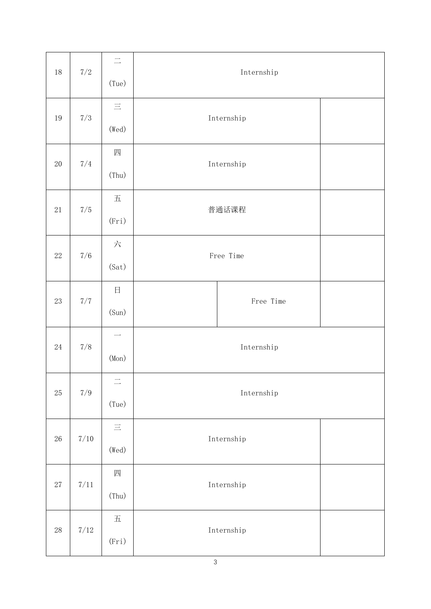| 18     | $7/2\,$  | $\equiv$<br>(Tue)                               | Internship |            |  |
|--------|----------|-------------------------------------------------|------------|------------|--|
| 19     | $7/3\,$  | $\equiv$<br>(Wed)                               |            | Internship |  |
| $20\,$ | 7/4      | 四<br>(Thu)                                      | Internship |            |  |
| $21\,$ | $7/5\,$  | $\ensuremath{\mathnormal{\textbf{H}}}$<br>(Fri) | 普通话课程      |            |  |
| $22\,$ | $7/6\,$  | 六<br>(Sat)                                      | Free Time  |            |  |
| $23\,$ | $7/7\,$  | $\Box$<br>(Sun)                                 |            | Free Time  |  |
| $24\,$ | $7/8$    | (Mon)                                           | Internship |            |  |
| $25\,$ | $7/9\,$  | $\equiv$<br>(Tue)                               | Internship |            |  |
| $26\,$ | $7/10$   | $\equiv$<br>(Wed)                               |            | Internship |  |
| $27\,$ | $7/11\,$ | 四<br>(Thu)                                      |            | Internship |  |
| $28\,$ | $7/12\,$ | $\overline{\mathrm{h}}$<br>(Fri)                |            | Internship |  |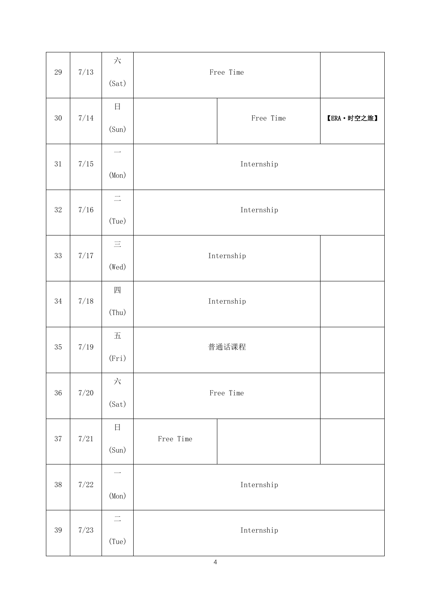| $29\,$ | $7/13$   | 六<br>(Sat)                                      | Free Time  |           |            |
|--------|----------|-------------------------------------------------|------------|-----------|------------|
| $30\,$ | $7/14$   | 日<br>(Sun)                                      |            | Free Time | 【ERA·时空之旅】 |
| $31\,$ | $7/15\,$ | (Mon)                                           | Internship |           |            |
| $32\,$ | $7/16$   | $\equiv$<br>(Tue)                               | Internship |           |            |
| 33     | $7/17\,$ | $\equiv$<br>(Wed)                               | Internship |           |            |
| $34\,$ | $7/18$   | 四<br>(Thu)                                      | Internship |           |            |
| $35\,$ | $7/19$   | $\ensuremath{\mathnormal{\textbf{H}}}$<br>(Fri) | 普通话课程      |           |            |
| 36     | $7/20\,$ | 六<br>(Sat)                                      | Free Time  |           |            |
| $37\,$ | $7/21\,$ | $\boxminus$<br>(Sun)                            | Free Time  |           |            |
| $38\,$ | $7/22$   | (Mon)                                           | Internship |           |            |
| 39     | $7/23$   | $\equiv$<br>(Tue)                               | Internship |           |            |

4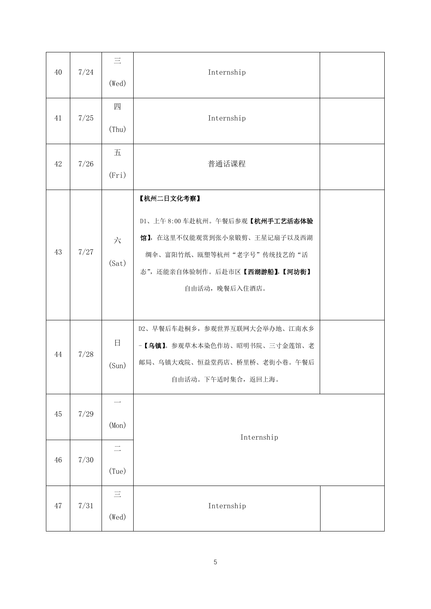| 40 | 7/24                | $\equiv$<br>(Wed) | Internship                                     |  |
|----|---------------------|-------------------|------------------------------------------------|--|
| 41 | 7/25                | 四                 | Internship                                     |  |
|    |                     | (Thu)             |                                                |  |
| 42 | 7/26                | 五                 | 普通话课程                                          |  |
|    |                     | (Fri)             |                                                |  |
|    |                     |                   | 【杭州二日文化考察】                                     |  |
|    | 7/27                |                   | D1、上午8:00车赴杭州。午餐后参观【杭州手工艺活态体验                  |  |
| 43 |                     | 六                 | 馆】, 在这里不仅能观赏到张小泉锻剪、王星记扇子以及西湖                   |  |
|    |                     | (Sat)             | 绸伞、富阳竹纸、瓯塑等杭州"老字号"传统技艺的"活                      |  |
|    |                     |                   | 态",还能亲自体验制作。后赴市区【西湖游船】,【河坊街】<br>自由活动, 晚餐后入住酒店。 |  |
|    |                     |                   |                                                |  |
|    |                     |                   | D2、早餐后车赴桐乡, 参观世界互联网大会举办地、江南水乡                  |  |
| 44 | 7/28                | 日                 | - 【乌镇】。参观草木本染色作坊、昭明书院、三寸金莲馆、老                  |  |
|    |                     | (Sun)             | 邮局、乌镇大戏院、恒益堂药店、桥里桥、老街小巷。午餐后                    |  |
|    |                     |                   | 自由活动。下午适时集合, 返回上海。                             |  |
| 45 | 7/29                |                   |                                                |  |
|    | (Mon)<br>Internship |                   |                                                |  |
|    |                     | $\equiv$          |                                                |  |
| 46 | $7/30$              | (Tue)             |                                                |  |
|    |                     | $\equiv$          |                                                |  |
| 47 | 7/31                | (Wed)             | Internship                                     |  |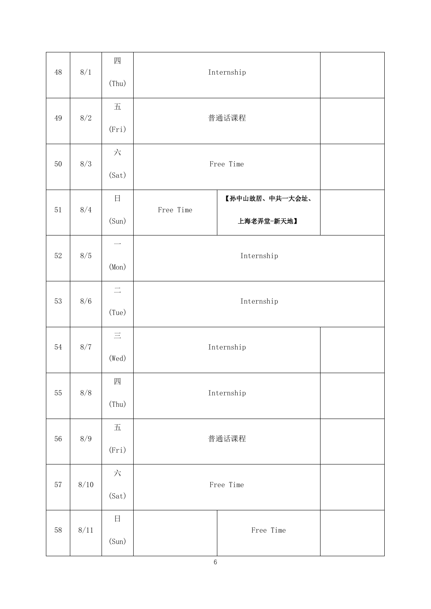| 48       | $8/\sqrt{1}$ | 四<br>(Thu)                                      |                                                                                                           | Internship     |  |  |
|----------|--------------|-------------------------------------------------|-----------------------------------------------------------------------------------------------------------|----------------|--|--|
| $\rm 49$ | $8/2\,$      | $\ensuremath{\mathbb{H}}$                       | 普通话课程                                                                                                     |                |  |  |
|          |              | (Fri)                                           |                                                                                                           |                |  |  |
| $50\,$   | 8/3          | 六                                               | Free Time                                                                                                 |                |  |  |
|          |              | (Sat)                                           |                                                                                                           |                |  |  |
| 51       | 8/4          | 日                                               | Free Time                                                                                                 | 【孙中山故居、中共一大会址、 |  |  |
|          |              | (Sun)                                           |                                                                                                           | 上海老弄堂-新天地】     |  |  |
| $52\,$   | 8/5          | $\overline{\phantom{0}}$                        |                                                                                                           |                |  |  |
|          |              | (Mon)                                           | Internship                                                                                                |                |  |  |
| 53       | 8/6          | $\equiv$                                        | Internship                                                                                                |                |  |  |
|          |              | (Tue)                                           |                                                                                                           |                |  |  |
| $54\,$   | $8/7\,$      | $\equiv$                                        | Internship                                                                                                |                |  |  |
|          |              | (Wed)                                           |                                                                                                           |                |  |  |
| 55       | $8/8\,$      | 四                                               | $\label{prop:optimal} \begin{minipage}{.4\linewidth} \hspace*{-0.2cm} \textbf{Internship} \end{minipage}$ |                |  |  |
|          |              | (Thu)                                           |                                                                                                           |                |  |  |
| 56       | $8/9\,$      | $\overline{\mathrm{\mathbf{\boldsymbol{\Pi}}}}$ |                                                                                                           | 普通话课程          |  |  |
|          |              | (Fri)                                           |                                                                                                           |                |  |  |
| 57       | $8/10\,$     | 六                                               | Free Time                                                                                                 |                |  |  |
|          |              | (Sat)                                           |                                                                                                           |                |  |  |
| 58       | $8/11\,$     | $\boxminus$                                     |                                                                                                           | Free Time      |  |  |
|          |              | (Sun)                                           |                                                                                                           |                |  |  |